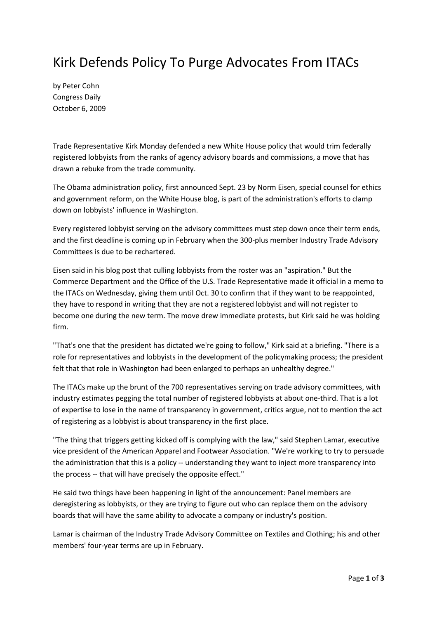## Kirk Defends Policy To Purge Advocates From ITACs

by Peter Cohn Congress Daily October 6, 2009

Trade Representative Kirk Monday defended a new White House policy that would trim federally registered lobbyists from the ranks of agency advisory boards and commissions, a move that has drawn a rebuke from the trade community.

The Obama administration policy, first announced Sept. 23 by Norm Eisen, special counsel for ethics and government reform, on the White House blog, is part of the administration's efforts to clamp down on lobbyists' influence in Washington.

Every registered lobbyist serving on the advisory committees must step down once their term ends, and the first deadline is coming up in February when the 300-plus member Industry Trade Advisory Committees is due to be rechartered.

Eisen said in his blog post that culling lobbyists from the roster was an "aspiration." But the Commerce Department and the Office of the U.S. Trade Representative made it official in a memo to the ITACs on Wednesday, giving them until Oct. 30 to confirm that if they want to be reappointed, they have to respond in writing that they are not a registered lobbyist and will not register to become one during the new term. The move drew immediate protests, but Kirk said he was holding firm.

"That's one that the president has dictated we're going to follow," Kirk said at a briefing. "There is a role for representatives and lobbyists in the development of the policymaking process; the president felt that that role in Washington had been enlarged to perhaps an unhealthy degree."

The ITACs make up the brunt of the 700 representatives serving on trade advisory committees, with industry estimates pegging the total number of registered lobbyists at about one-third. That is a lot of expertise to lose in the name of transparency in government, critics argue, not to mention the act of registering as a lobbyist is about transparency in the first place.

"The thing that triggers getting kicked off is complying with the law," said Stephen Lamar, executive vice president of the American Apparel and Footwear Association. "We're working to try to persuade the administration that this is a policy -- understanding they want to inject more transparency into the process -- that will have precisely the opposite effect."

He said two things have been happening in light of the announcement: Panel members are deregistering as lobbyists, or they are trying to figure out who can replace them on the advisory boards that will have the same ability to advocate a company or industry's position.

Lamar is chairman of the Industry Trade Advisory Committee on Textiles and Clothing; his and other members' four-year terms are up in February.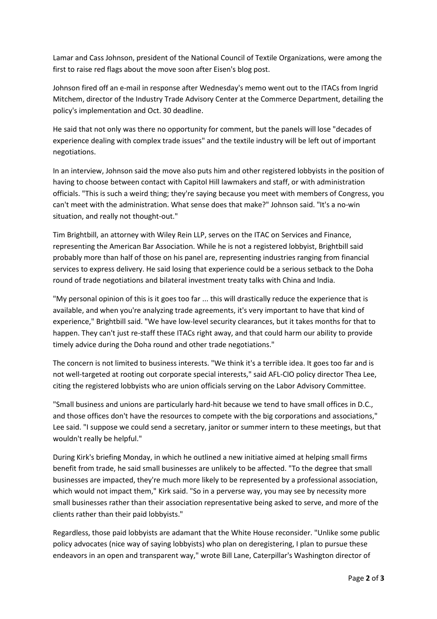Lamar and Cass Johnson, president of the National Council of Textile Organizations, were among the first to raise red flags about the move soon after Eisen's blog post.

Johnson fired off an e-mail in response after Wednesday's memo went out to the ITACs from Ingrid Mitchem, director of the Industry Trade Advisory Center at the Commerce Department, detailing the policy's implementation and Oct. 30 deadline.

He said that not only was there no opportunity for comment, but the panels will lose "decades of experience dealing with complex trade issues" and the textile industry will be left out of important negotiations.

In an interview, Johnson said the move also puts him and other registered lobbyists in the position of having to choose between contact with Capitol Hill lawmakers and staff, or with administration officials. "This is such a weird thing; they're saying because you meet with members of Congress, you can't meet with the administration. What sense does that make?" Johnson said. "It's a no-win situation, and really not thought-out."

Tim Brightbill, an attorney with Wiley Rein LLP, serves on the ITAC on Services and Finance, representing the American Bar Association. While he is not a registered lobbyist, Brightbill said probably more than half of those on his panel are, representing industries ranging from financial services to express delivery. He said losing that experience could be a serious setback to the Doha round of trade negotiations and bilateral investment treaty talks with China and India.

"My personal opinion of this is it goes too far ... this will drastically reduce the experience that is available, and when you're analyzing trade agreements, it's very important to have that kind of experience," Brightbill said. "We have low-level security clearances, but it takes months for that to happen. They can't just re-staff these ITACs right away, and that could harm our ability to provide timely advice during the Doha round and other trade negotiations."

The concern is not limited to business interests. "We think it's a terrible idea. It goes too far and is not well-targeted at rooting out corporate special interests," said AFL-CIO policy director Thea Lee, citing the registered lobbyists who are union officials serving on the Labor Advisory Committee.

"Small business and unions are particularly hard-hit because we tend to have small offices in D.C., and those offices don't have the resources to compete with the big corporations and associations," Lee said. "I suppose we could send a secretary, janitor or summer intern to these meetings, but that wouldn't really be helpful."

During Kirk's briefing Monday, in which he outlined a new initiative aimed at helping small firms benefit from trade, he said small businesses are unlikely to be affected. "To the degree that small businesses are impacted, they're much more likely to be represented by a professional association, which would not impact them," Kirk said. "So in a perverse way, you may see by necessity more small businesses rather than their association representative being asked to serve, and more of the clients rather than their paid lobbyists."

Regardless, those paid lobbyists are adamant that the White House reconsider. "Unlike some public policy advocates (nice way of saying lobbyists) who plan on deregistering, I plan to pursue these endeavors in an open and transparent way," wrote Bill Lane, Caterpillar's Washington director of